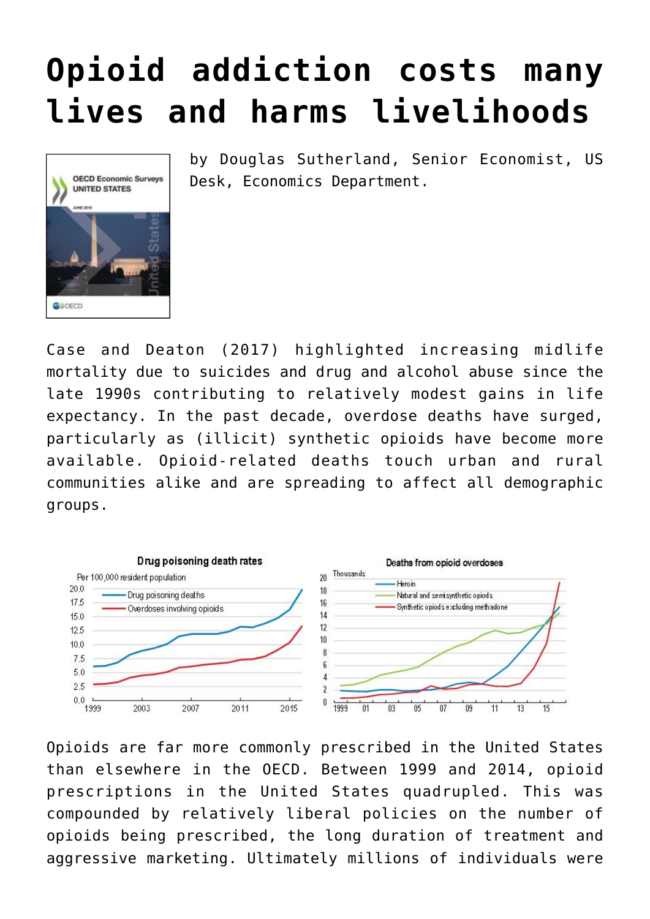## **[Opioid addiction costs many](https://oecdecoscope.blog/2018/06/15/opioid-addiction-costs-many-lives-and-harms-livelihoods/) [lives and harms livelihoods](https://oecdecoscope.blog/2018/06/15/opioid-addiction-costs-many-lives-and-harms-livelihoods/)**



by Douglas Sutherland, Senior Economist, US Desk, Economics Department.

Case and Deaton (2017) highlighted increasing midlife mortality due to suicides and drug and alcohol abuse since the late 1990s contributing to relatively modest gains in life expectancy. In the past decade, overdose deaths have surged, particularly as (illicit) synthetic opioids have become more available. Opioid-related deaths touch urban and rural communities alike and are spreading to affect all demographic groups.



Opioids are far more commonly prescribed in the United States than elsewhere in the OECD. Between 1999 and 2014, opioid prescriptions in the United States quadrupled. This was compounded by relatively liberal policies on the number of opioids being prescribed, the long duration of treatment and aggressive marketing. Ultimately millions of individuals were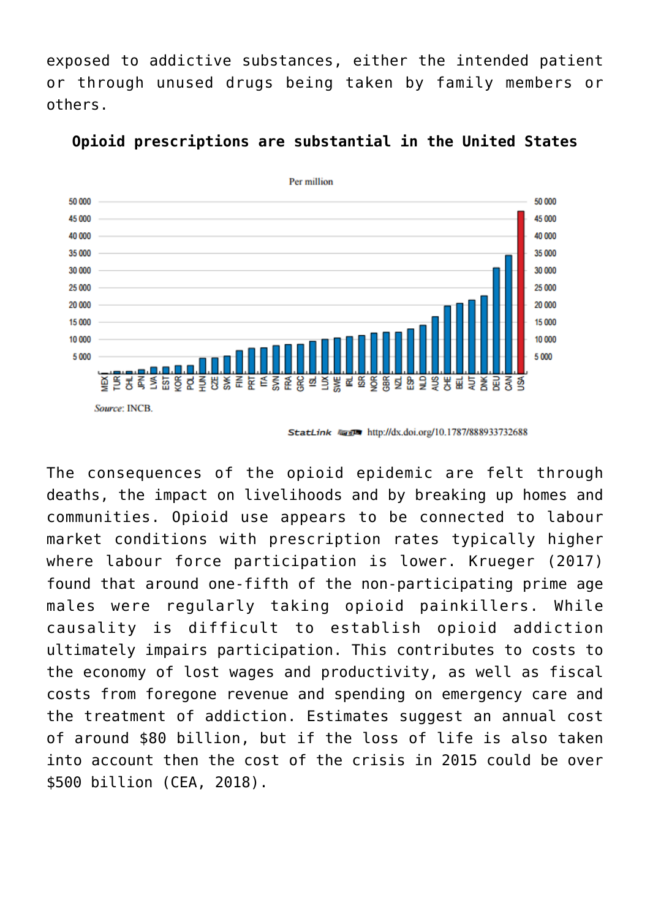exposed to addictive substances, either the intended patient or through unused drugs being taken by family members or others.



**Opioid prescriptions are substantial in the United States**

The consequences of the opioid epidemic are felt through deaths, the impact on livelihoods and by breaking up homes and communities. Opioid use appears to be connected to labour market conditions with prescription rates typically higher where labour force participation is lower. Krueger (2017) found that around one-fifth of the non-participating prime age males were regularly taking opioid painkillers. While causality is difficult to establish opioid addiction ultimately impairs participation. This contributes to costs to the economy of lost wages and productivity, as well as fiscal costs from foregone revenue and spending on emergency care and the treatment of addiction. Estimates suggest an annual cost of around \$80 billion, but if the loss of life is also taken into account then the cost of the crisis in 2015 could be over \$500 billion (CEA, 2018).

StatLink **First http://dx.doi.org/10.1787/888933732688**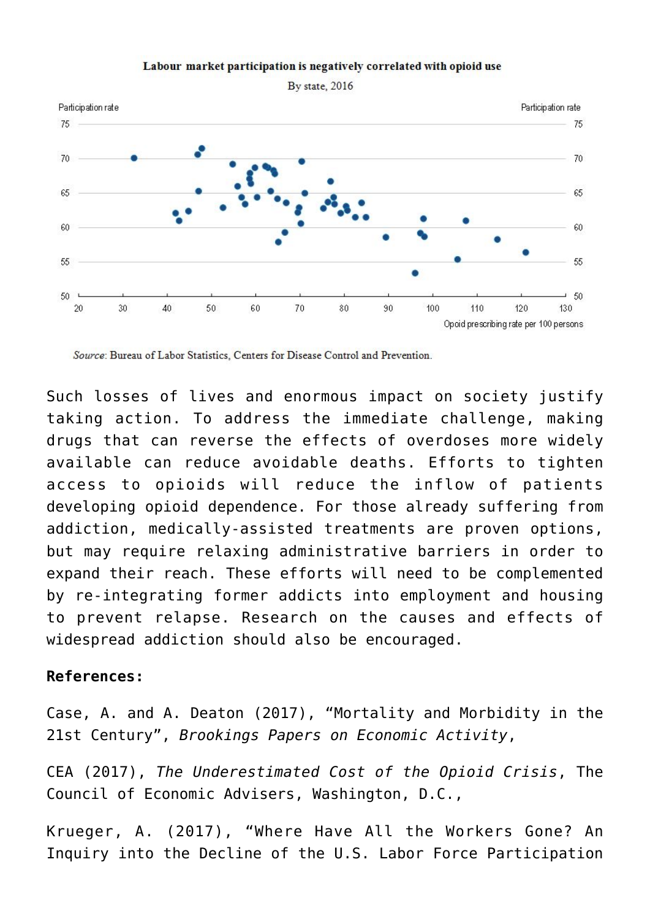

## Labour market participation is negatively correlated with opioid use

By state, 2016

Source: Bureau of Labor Statistics, Centers for Disease Control and Prevention.

Such losses of lives and enormous impact on society justify taking action. To address the immediate challenge, making drugs that can reverse the effects of overdoses more widely available can reduce avoidable deaths. Efforts to tighten access to opioids will reduce the inflow of patients developing opioid dependence. For those already suffering from addiction, medically-assisted treatments are proven options, but may require relaxing administrative barriers in order to expand their reach. These efforts will need to be complemented by re-integrating former addicts into employment and housing to prevent relapse. Research on the causes and effects of widespread addiction should also be encouraged.

## **References:**

Case, A. and A. Deaton (2017), "Mortality and Morbidity in the 21st Century", *Brookings Papers on Economic Activity*,

CEA (2017), *The Underestimated Cost of the Opioid Crisis*, The Council of Economic Advisers, Washington, D.C.,

Krueger, A. (2017), "Where Have All the Workers Gone? An Inquiry into the Decline of the U.S. Labor Force Participation